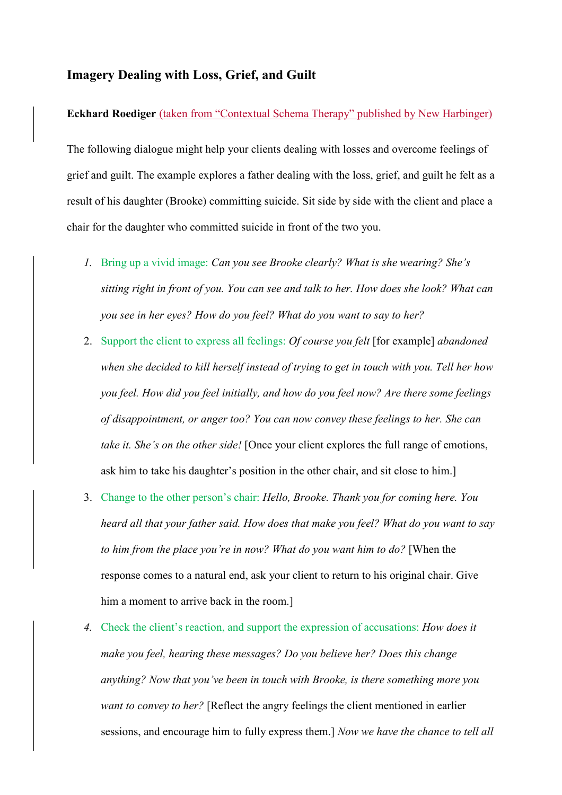## **Imagery Dealing with Loss, Grief, and Guilt**

## **Eckhard Roediger** (taken from "Contextual Schema Therapy" published by New Harbinger)

The following dialogue might help your clients dealing with losses and overcome feelings of grief and guilt. The example explores a father dealing with the loss, grief, and guilt he felt as a result of his daughter (Brooke) committing suicide. Sit side by side with the client and place a chair for the daughter who committed suicide in front of the two you.

- *1.* Bring up a vivid image: *Can you see Brooke clearly? What is she wearing? She's sitting right in front of you. You can see and talk to her. How does she look? What can you see in her eyes? How do you feel? What do you want to say to her?*
- 2. Support the client to express all feelings: *Of course you felt* [for example] *abandoned when she decided to kill herself instead of trying to get in touch with you. Tell her how you feel. How did you feel initially, and how do you feel now? Are there some feelings of disappointment, or anger too? You can now convey these feelings to her. She can take it. She's on the other side!* [Once your client explores the full range of emotions, ask him to take his daughter's position in the other chair, and sit close to him.]
- 3. Change to the other person's chair: *Hello, Brooke. Thank you for coming here. You heard all that your father said. How does that make you feel? What do you want to say to him from the place you're in now? What do you want him to do?* [When the response comes to a natural end, ask your client to return to his original chair. Give him a moment to arrive back in the room.
- *4.* Check the client's reaction, and support the expression of accusations: *How does it make you feel, hearing these messages? Do you believe her? Does this change anything? Now that you've been in touch with Brooke, is there something more you want to convey to her?* [Reflect the angry feelings the client mentioned in earlier sessions, and encourage him to fully express them.] *Now we have the chance to tell all*